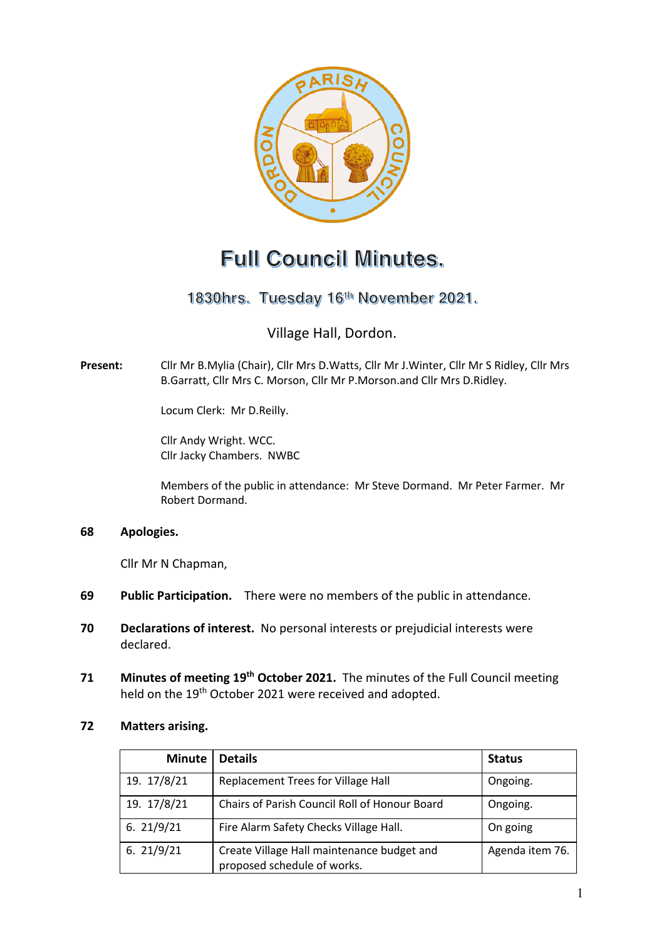

# **Full Council Minutes.**

# 1830hrs. Tuesday 16th November 2021.

# Village Hall, Dordon.

**Present:** Cllr Mr B.Mylia (Chair), Cllr Mrs D.Watts, Cllr Mr J.Winter, Cllr Mr S Ridley, Cllr Mrs B.Garratt, Cllr Mrs C. Morson, Cllr Mr P.Morson.and Cllr Mrs D.Ridley.

Locum Clerk: Mr D.Reilly.

Cllr Andy Wright. WCC. Cllr Jacky Chambers. NWBC

Members of the public in attendance: Mr Steve Dormand. Mr Peter Farmer. Mr Robert Dormand.

#### **68 Apologies.**

Cllr Mr N Chapman,

- **69 Public Participation.** There were no members of the public in attendance.
- **70 Declarations of interest.** No personal interests or prejudicial interests were declared.
- **71 Minutes of meeting 19th October 2021.** The minutes of the Full Council meeting held on the 19<sup>th</sup> October 2021 were received and adopted.

#### **72 Matters arising.**

| <b>Minute</b> | <b>Details</b>                                                            | <b>Status</b>   |
|---------------|---------------------------------------------------------------------------|-----------------|
| 19. 17/8/21   | Replacement Trees for Village Hall                                        | Ongoing.        |
| 19. 17/8/21   | Chairs of Parish Council Roll of Honour Board                             | Ongoing.        |
| 6.21/9/21     | Fire Alarm Safety Checks Village Hall.                                    | On going        |
| 6.21/9/21     | Create Village Hall maintenance budget and<br>proposed schedule of works. | Agenda item 76. |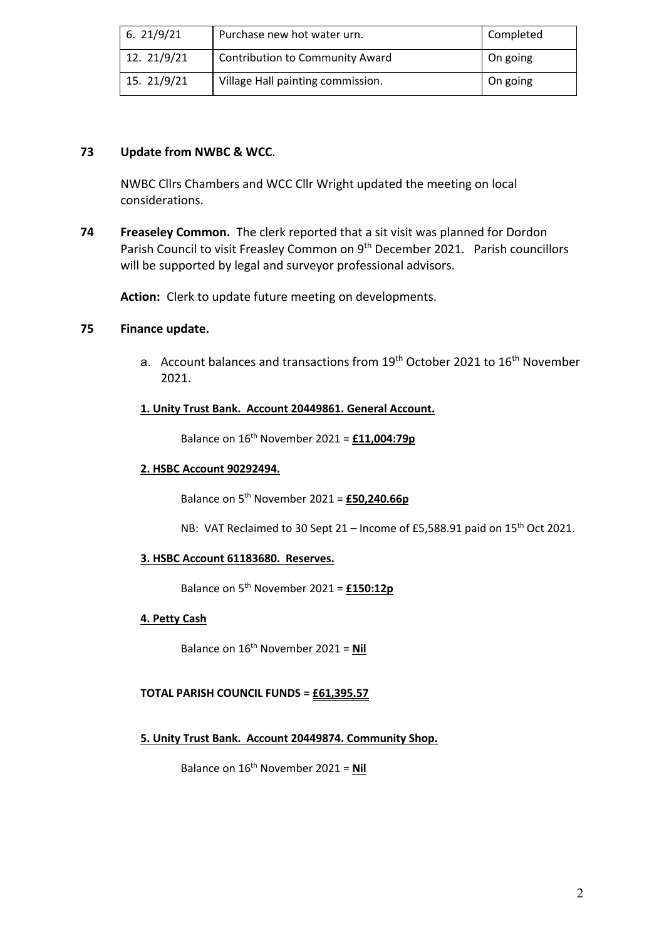| 6.21/9/21   | Purchase new hot water urn.            | Completed |
|-------------|----------------------------------------|-----------|
| 12. 21/9/21 | <b>Contribution to Community Award</b> | On going  |
| 15. 21/9/21 | Village Hall painting commission.      | On going  |

## **73 Update from NWBC & WCC**.

NWBC Cllrs Chambers and WCC Cllr Wright updated the meeting on local considerations.

**74 Freaseley Common.** The clerk reported that a sit visit was planned for Dordon Parish Council to visit Freasley Common on 9th December 2021. Parish councillors will be supported by legal and surveyor professional advisors.

**Action:** Clerk to update future meeting on developments.

## **75 Finance update.**

a. Account balances and transactions from 19<sup>th</sup> October 2021 to 16<sup>th</sup> November 2021.

#### **1. Unity Trust Bank. Account 20449861. General Account.**

Balance on 16th November 2021 = **£11,004:79p**

#### **2. HSBC Account 90292494.**

Balance on 5th November 2021 = **£50,240.66p**

NB: VAT Reclaimed to 30 Sept 21 – Income of £5,588.91 paid on 15<sup>th</sup> Oct 2021.

#### **3. HSBC Account 61183680. Reserves.**

Balance on 5th November 2021 = **£150:12p**

#### **4. Petty Cash**

Balance on 16th November 2021 = **Nil** 

#### **TOTAL PARISH COUNCIL FUNDS = £61,395.57**

#### **5. Unity Trust Bank. Account 20449874. Community Shop.**

Balance on 16th November 2021 = **Nil**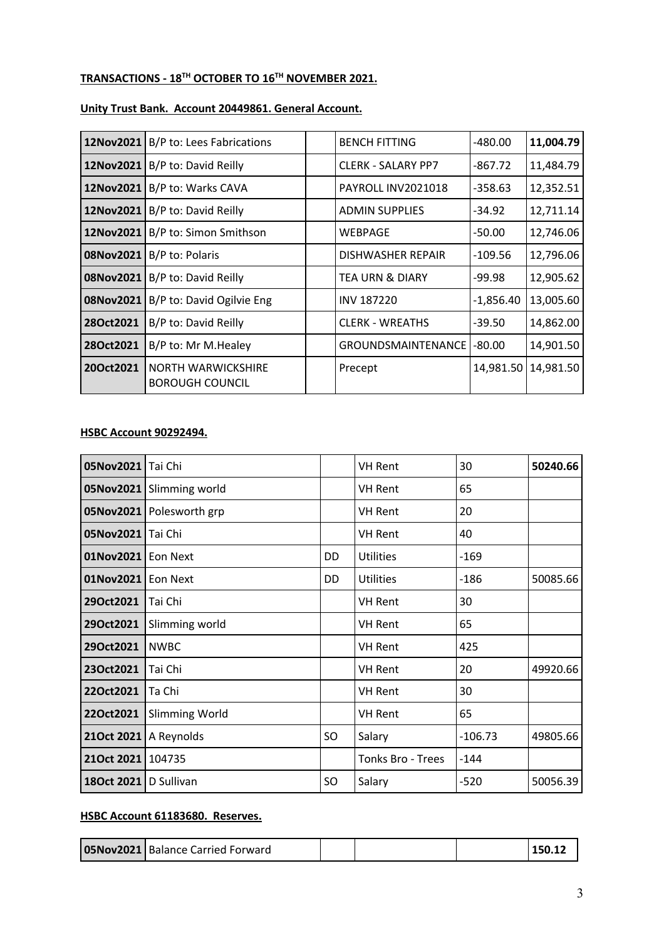# **TRANSACTIONS - 18TH OCTOBER TO 16TH NOVEMBER 2021.**

#### **Unity Trust Bank. Account 20449861. General Account.**

|           | <b>12Nov2021</b>   B/P to: Lees Fabrications | <b>BENCH FITTING</b>       | -480.00     | 11,004.79 |
|-----------|----------------------------------------------|----------------------------|-------------|-----------|
| 12Nov2021 | B/P to: David Reilly                         | <b>CLERK - SALARY PP7</b>  | -867.72     | 11,484.79 |
|           | 12Nov2021 B/P to: Warks CAVA                 | PAYROLL INV2021018         | $-358.63$   | 12,352.51 |
|           | 12Nov2021   B/P to: David Reilly             | <b>ADMIN SUPPLIES</b>      | $-34.92$    | 12,711.14 |
| 12Nov2021 | B/P to: Simon Smithson                       | WEBPAGE                    | $-50.00$    | 12,746.06 |
|           | <b>08Nov2021</b> B/P to: Polaris             | DISHWASHER REPAIR          | $-109.56$   | 12,796.06 |
| 08Nov2021 | B/P to: David Reilly                         | <b>TEA URN &amp; DIARY</b> | -99.98      | 12,905.62 |
| 08Nov2021 | B/P to: David Ogilvie Eng                    | <b>INV 187220</b>          | $-1,856.40$ | 13,005.60 |
| 28Oct2021 | B/P to: David Reilly                         | <b>CLERK - WREATHS</b>     | $-39.50$    | 14,862.00 |
| 28Oct2021 | B/P to: Mr M.Healey                          | GROUNDSMAINTENANCE         | -80.00      | 14,901.50 |
| 20Oct2021 | NORTH WARWICKSHIRE<br><b>BOROUGH COUNCIL</b> | Precept                    | 14,981.50   | 14,981.50 |

#### **HSBC Account 90292494.**

| 05Nov2021 Tai Chi |                          |           | <b>VH Rent</b>    | 30        | 50240.66 |
|-------------------|--------------------------|-----------|-------------------|-----------|----------|
| 05Nov2021         | Slimming world           |           | <b>VH Rent</b>    | 65        |          |
|                   | 05Nov2021 Polesworth grp |           | <b>VH Rent</b>    | 20        |          |
| 05Nov2021         | Tai Chi                  |           | <b>VH Rent</b>    | 40        |          |
| 01Nov2021         | Eon Next                 | DD.       | <b>Utilities</b>  | $-169$    |          |
| 01Nov2021         | <b>Eon Next</b>          | <b>DD</b> | <b>Utilities</b>  | $-186$    | 50085.66 |
| 29Oct2021         | Tai Chi                  |           | <b>VH Rent</b>    | 30        |          |
| 29Oct2021         | Slimming world           |           | <b>VH Rent</b>    | 65        |          |
| 29Oct2021         | <b>NWBC</b>              |           | <b>VH Rent</b>    | 425       |          |
| 23Oct2021         | Tai Chi                  |           | <b>VH Rent</b>    | 20        | 49920.66 |
| 22Oct2021         | Ta Chi                   |           | <b>VH Rent</b>    | 30        |          |
| 22Oct2021         | Slimming World           |           | <b>VH Rent</b>    | 65        |          |
| 21Oct 2021        | A Reynolds               | SO        | Salary            | $-106.73$ | 49805.66 |
| 21Oct 2021        | 104735                   |           | Tonks Bro - Trees | $-144$    |          |
| 18Oct 2021        | D Sullivan               | <b>SO</b> | Salary            | $-520$    | 50056.39 |

# **HSBC Account 61183680. Reserves.**

| <b>05Nov2021</b> Balance Carried Forward |  |  |  | 150.12 |
|------------------------------------------|--|--|--|--------|
|------------------------------------------|--|--|--|--------|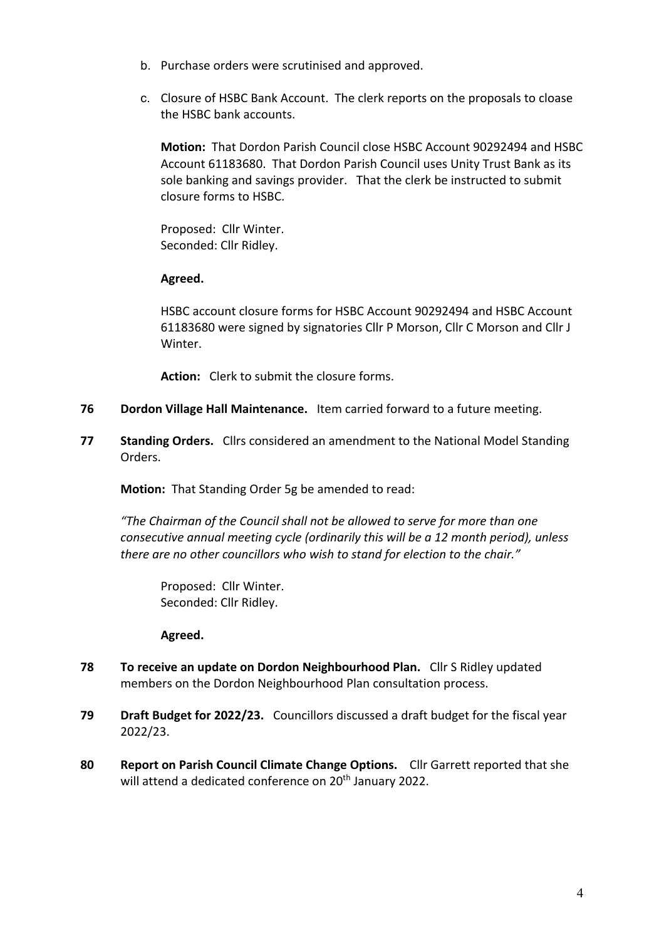- b. Purchase orders were scrutinised and approved.
- c. Closure of HSBC Bank Account. The clerk reports on the proposals to cloase the HSBC bank accounts.

**Motion:** That Dordon Parish Council close HSBC Account 90292494 and HSBC Account 61183680. That Dordon Parish Council uses Unity Trust Bank as its sole banking and savings provider. That the clerk be instructed to submit closure forms to HSBC.

Proposed: Cllr Winter. Seconded: Cllr Ridley.

## **Agreed.**

HSBC account closure forms for HSBC Account 90292494 and HSBC Account 61183680 were signed by signatories Cllr P Morson, Cllr C Morson and Cllr J Winter.

**Action:** Clerk to submit the closure forms.

- **76 Dordon Village Hall Maintenance.** Item carried forward to a future meeting.
- **77 Standing Orders.** Cllrs considered an amendment to the National Model Standing Orders.

**Motion:** That Standing Order 5g be amended to read:

*"The Chairman of the Council shall not be allowed to serve for more than one consecutive annual meeting cycle (ordinarily this will be a 12 month period), unless there are no other councillors who wish to stand for election to the chair."*

Proposed: Cllr Winter. Seconded: Cllr Ridley.

**Agreed.**

- **78 To receive an update on Dordon Neighbourhood Plan.** Cllr S Ridley updated members on the Dordon Neighbourhood Plan consultation process.
- **79 Draft Budget for 2022/23.** Councillors discussed a draft budget for the fiscal year 2022/23.
- **80 Report on Parish Council Climate Change Options.** Cllr Garrett reported that she will attend a dedicated conference on 20<sup>th</sup> January 2022.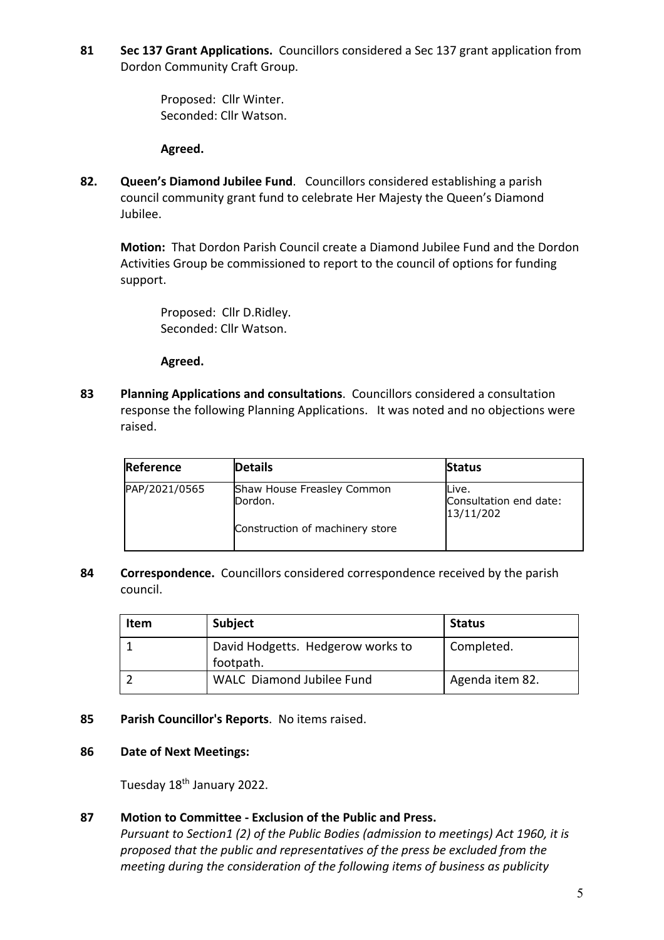**81 Sec 137 Grant Applications.** Councillors considered a Sec 137 grant application from Dordon Community Craft Group.

> Proposed: Cllr Winter. Seconded: Cllr Watson.

#### **Agreed.**

**82. Queen's Diamond Jubilee Fund**. Councillors considered establishing a parish council community grant fund to celebrate Her Majesty the Queen's Diamond Jubilee.

**Motion:** That Dordon Parish Council create a Diamond Jubilee Fund and the Dordon Activities Group be commissioned to report to the council of options for funding support.

Proposed: Cllr D.Ridley. Seconded: Cllr Watson.

#### **Agreed.**

**83 Planning Applications and consultations**. Councillors considered a consultation response the following Planning Applications. It was noted and no objections were raised.

| Reference     | <b>Details</b>                        | <b>Status</b>                                |
|---------------|---------------------------------------|----------------------------------------------|
| PAP/2021/0565 | Shaw House Freasley Common<br>Dordon. | Live.<br>Consultation end date:<br>13/11/202 |
|               | Construction of machinery store       |                                              |

**84 Correspondence.** Councillors considered correspondence received by the parish council.

| Item | <b>Subject</b>                                 | <b>Status</b>   |
|------|------------------------------------------------|-----------------|
|      | David Hodgetts. Hedgerow works to<br>footpath. | Completed.      |
|      | WALC Diamond Jubilee Fund                      | Agenda item 82. |

**85 Parish Councillor's Reports**. No items raised.

#### **86 Date of Next Meetings:**

Tuesday 18th January 2022.

# **87 Motion to Committee - Exclusion of the Public and Press.**

*Pursuant to Section1 (2) of the Public Bodies (admission to meetings) Act 1960, it is proposed that the public and representatives of the press be excluded from the meeting during the consideration of the following items of business as publicity*